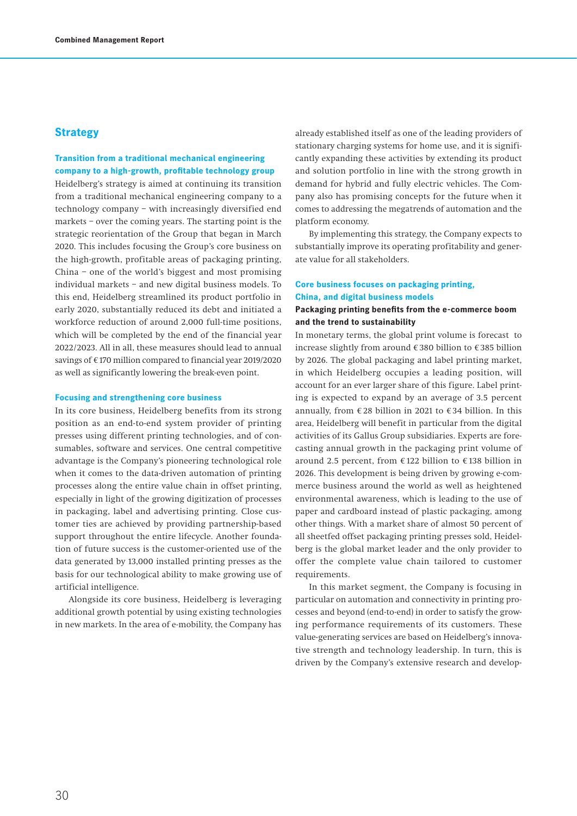# **Strategy**

# **Transition from a traditional mechanical engineering company to a high-growth, profitable technology group**

Heidelberg's strategy is aimed at continuing its transition from a traditional mechanical engineering company to a technology company – with increasingly diversified end markets – over the coming years. The starting point is the strategic reorientation of the Group that began in March 2020. This includes focusing the Group's core business on the high-growth, profitable areas of packaging printing, China – one of the world's biggest and most promising individual markets – and new digital business models. To this end, Heidelberg streamlined its product portfolio in early 2020, substantially reduced its debt and initiated a workforce reduction of around 2,000 full-time positions, which will be completed by the end of the financial year 2022/2023. All in all, these measures should lead to annual savings of €170 million compared to financial year 2019/2020 as well as significantly lowering the break-even point.

#### **Focusing and strengthening core business**

In its core business, Heidelberg benefits from its strong position as an end-to-end system provider of printing presses using different printing technologies, and of consumables, software and services. One central competitive advantage is the Company's pioneering technological role when it comes to the data-driven automation of printing processes along the entire value chain in offset printing, especially in light of the growing digitization of processes in packaging, label and advertising printing. Close customer ties are achieved by providing partnership-based support throughout the entire lifecycle. Another foundation of future success is the customer-oriented use of the data generated by 13,000 installed printing presses as the basis for our technological ability to make growing use of artificial intelligence.

Alongside its core business, Heidelberg is leveraging additional growth potential by using existing technologies in new markets. In the area of e-mobility, the Company has

already established itself as one of the leading providers of stationary charging systems for home use, and it is significantly expanding these activities by extending its product and solution portfolio in line with the strong growth in demand for hybrid and fully electric vehicles. The Company also has promising concepts for the future when it comes to addressing the megatrends of automation and the platform economy.

By implementing this strategy, the Company expects to substantially improve its operating profitability and generate value for all stakeholders.

### **Core business focuses on packaging printing, China, and digital business models**

### **Packaging printing benefits from the e-commerce boom and the trend to sustainability**

In monetary terms, the global print volume is forecast to increase slightly from around € 380 billion to € 385 billion by 2026. The global packaging and label printing market, in which Heidelberg occupies a leading position, will account for an ever larger share of this figure. Label printing is expected to expand by an average of 3.5 percent annually, from  $\epsilon$  28 billion in 2021 to  $\epsilon$  34 billion. In this area, Heidelberg will benefit in particular from the digital activities of its Gallus Group subsidiaries. Experts are forecasting annual growth in the packaging print volume of around 2.5 percent, from € 122 billion to € 138 billion in 2026. This development is being driven by growing e-commerce business around the world as well as heightened environmental awareness, which is leading to the use of paper and cardboard instead of plastic packaging, among other things. With a market share of almost 50 percent of all sheetfed offset packaging printing presses sold, Heidelberg is the global market leader and the only provider to offer the complete value chain tailored to customer requirements.

In this market segment, the Company is focusing in particular on automation and connectivity in printing processes and beyond (end-to-end) in order to satisfy the growing performance requirements of its customers. These value-generating services are based on Heidelberg's innovative strength and technology leadership. In turn, this is driven by the Company's extensive research and develop-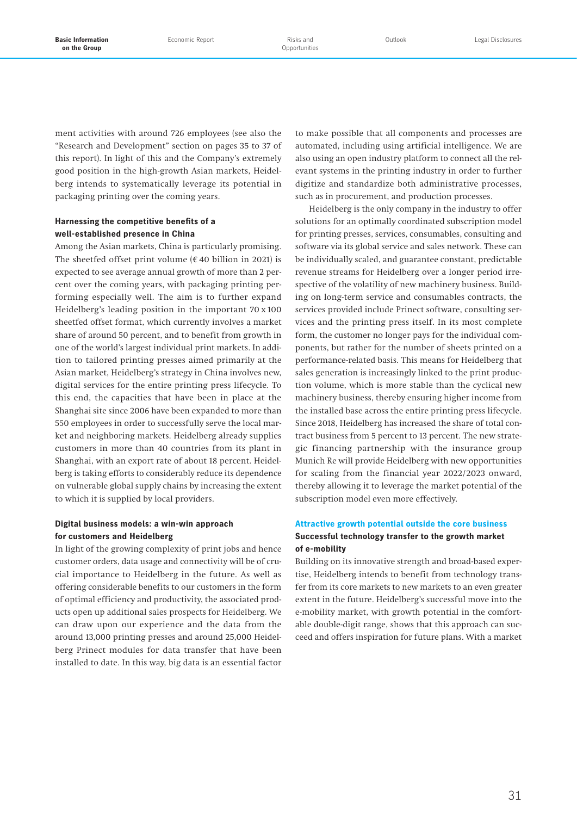ment activities with around 726 employees (see also the "Research and Development" section on pages 35 to 37 of this report). In light of this and the Company's extremely good position in the high-growth Asian markets, Heidelberg intends to systematically leverage its potential in packaging printing over the coming years.

## **Harnessing the competitive benefits of a well-established presence in China**

Among the Asian markets, China is particularly promising. The sheetfed offset print volume ( $€$  40 billion in 2021) is expected to see average annual growth of more than 2 percent over the coming years, with packaging printing performing especially well. The aim is to further expand Heidelberg's leading position in the important 70 x 100 sheetfed offset format, which currently involves a market share of around 50 percent, and to benefit from growth in one of the world's largest individual print markets. In addition to tailored printing presses aimed primarily at the Asian market, Heidelberg's strategy in China involves new, digital services for the entire printing press lifecycle. To this end, the capacities that have been in place at the Shanghai site since 2006 have been expanded to more than 550 employees in order to successfully serve the local market and neighboring markets. Heidelberg already supplies customers in more than 40 countries from its plant in Shanghai, with an export rate of about 18 percent. Heidelberg is taking efforts to considerably reduce its dependence on vulnerable global supply chains by increasing the extent to which it is supplied by local providers.

## **Digital business models: a win-win approach for customers and Heidelberg**

In light of the growing complexity of print jobs and hence customer orders, data usage and connectivity will be of crucial importance to Heidelberg in the future. As well as offering considerable benefits to our customers in the form of optimal efficiency and productivity, the associated products open up additional sales prospects for Heidelberg. We can draw upon our experience and the data from the around 13,000 printing presses and around 25,000 Heidelberg Prinect modules for data transfer that have been installed to date. In this way, big data is an essential factor

to make possible that all components and processes are automated, including using artificial intelligence. We are also using an open industry platform to connect all the relevant systems in the printing industry in order to further digitize and standardize both administrative processes, such as in procurement, and production processes.

Heidelberg is the only company in the industry to offer solutions for an optimally coordinated subscription model for printing presses, services, consumables, consulting and software via its global service and sales network. These can be individually scaled, and guarantee constant, predictable revenue streams for Heidelberg over a longer period irrespective of the volatility of new machinery business. Building on long-term service and consumables contracts, the services provided include Prinect software, consulting services and the printing press itself. In its most complete form, the customer no longer pays for the individual components, but rather for the number of sheets printed on a performance-related basis. This means for Heidelberg that sales generation is increasingly linked to the print production volume, which is more stable than the cyclical new machinery business, thereby ensuring higher income from the installed base across the entire printing press lifecycle. Since 2018, Heidelberg has increased the share of total contract business from 5 percent to 13 percent. The new strategic financing partnership with the insurance group Munich Re will provide Heidelberg with new opportunities for scaling from the financial year 2022/2023 onward, thereby allowing it to leverage the market potential of the subscription model even more effectively.

# **Attractive growth potential outside the core business Successful technology transfer to the growth market of e-mobility**

Building on its innovative strength and broad-based expertise, Heidelberg intends to benefit from technology transfer from its core markets to new markets to an even greater extent in the future. Heidelberg's successful move into the e-mobility market, with growth potential in the comfortable double-digit range, shows that this approach can succeed and offers inspiration for future plans. With a market